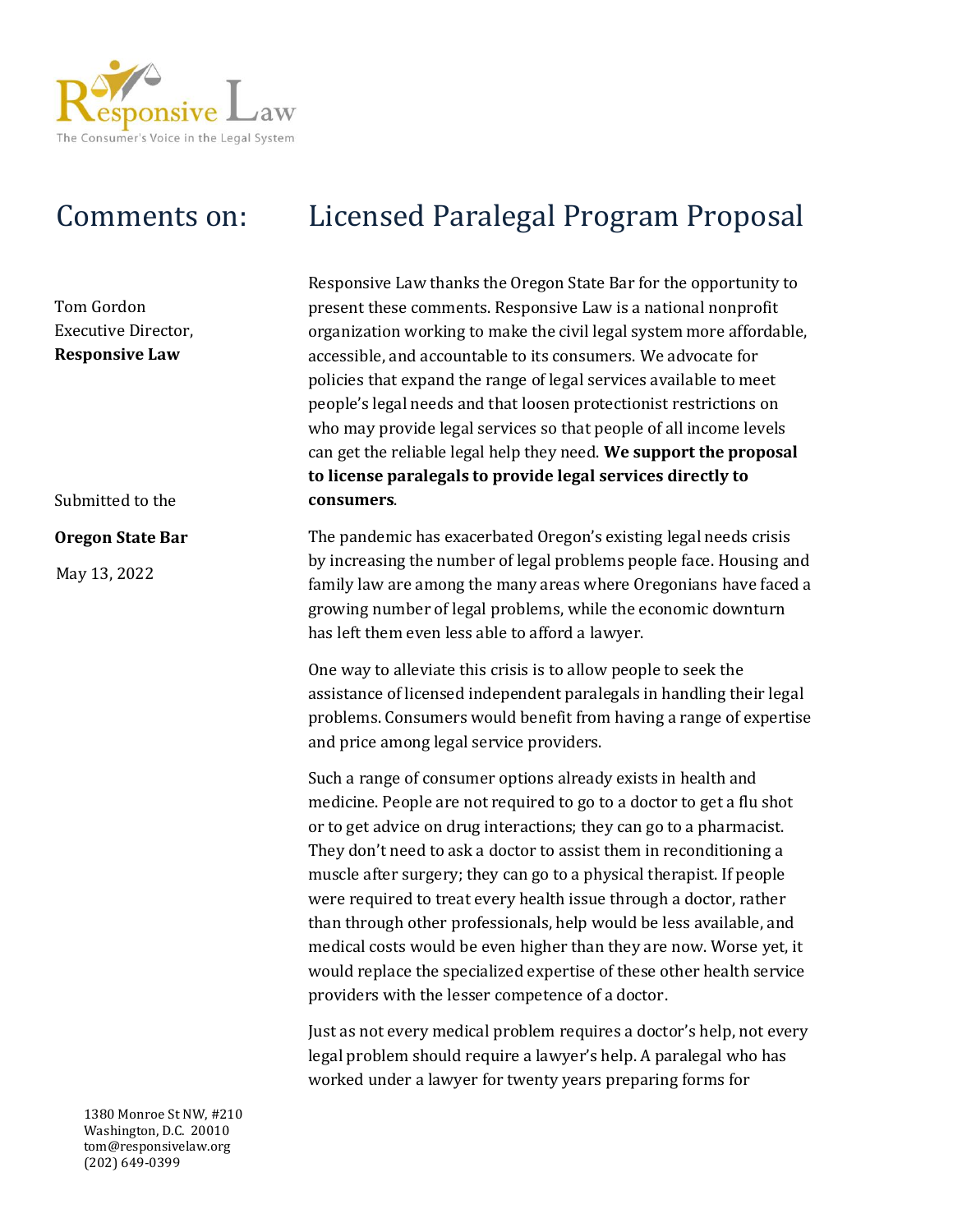

Tom Gordon Executive Director, **Responsive Law**

Submitted to the

## **Oregon State Bar**

May 13, 2022

## Comments on: Licensed Paralegal Program Proposal

Responsive Law thanks the Oregon State Bar for the opportunity to present these comments. Responsive Law is a national nonprofit organization working to make the civil legal system more affordable, accessible, and accountable to its consumers. We advocate for policies that expand the range of legal services available to meet people's legal needs and that loosen protectionist restrictions on who may provide legal services so that people of all income levels can get the reliable legal help they need. **We support the proposal to license paralegals to provide legal services directly to consumers**.

The pandemic has exacerbated Oregon's existing legal needs crisis by increasing the number of legal problems people face. Housing and family law are among the many areas where Oregonians have faced a growing number of legal problems, while the economic downturn has left them even less able to afford a lawyer.

One way to alleviate this crisis is to allow people to seek the assistance of licensed independent paralegals in handling their legal problems. Consumers would benefit from having a range of expertise and price among legal service providers.

Such a range of consumer options already exists in health and medicine. People are not required to go to a doctor to get a flu shot or to get advice on drug interactions; they can go to a pharmacist. They don't need to ask a doctor to assist them in reconditioning a muscle after surgery; they can go to a physical therapist. If people were required to treat every health issue through a doctor, rather than through other professionals, help would be less available, and medical costs would be even higher than they are now. Worse yet, it would replace the specialized expertise of these other health service providers with the lesser competence of a doctor.

Just as not every medical problem requires a doctor's help, not every legal problem should require a lawyer's help. A paralegal who has worked under a lawyer for twenty years preparing forms for

1380 Monroe St NW, #210 Washington, D.C. 20010 tom@responsivelaw.org (202) 649-0399